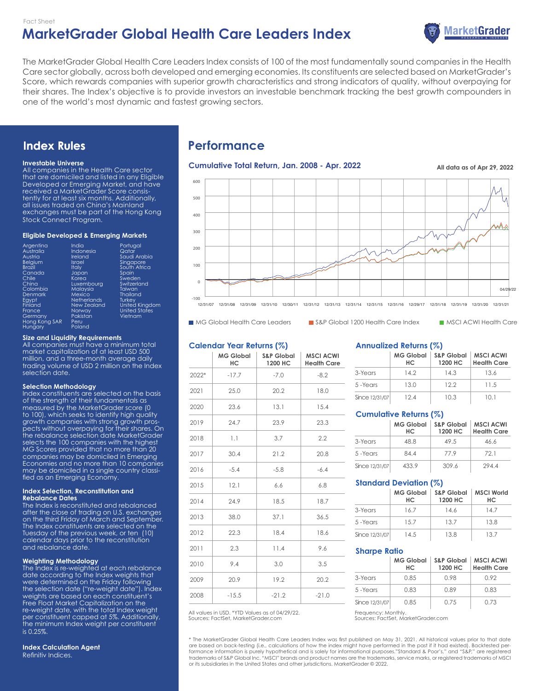# **MarketGrader Global Health Care Leaders Index** Fact Sheet



The MarketGrader Global Health Care Leaders Index consists of 100 of the most fundamentally sound companies in the Health Care sector globally, across both developed and emerging economies. Its constituents are selected based on MarketGrader's Score, which rewards companies with superior growth characteristics and strong indicators of quality, without overpaying for their shares. The Index's objective is to provide investors an investable benchmark tracking the best growth compounders in one of the world's most dynamic and fastest growing sectors.

# **Index Rules**

#### **Investable Universe**

All companies in the Health Care sector that are domiciled and listed in any Eligible Developed or Emerging Market, and have received a MarketGrader Score consistently for at least six months. Additionally, all issues traded on China's Mainland exchanges must be part of the Hong Kong Stock Connect Program.

#### **Eligible Developed & Emerging Markets**

| Argentina     | India              | Portugal              |
|---------------|--------------------|-----------------------|
| Australia     | Indonesia          | Qatar                 |
| Austria       | Ireland            | Saudi Arabia          |
| Belgium       | Israel             | Singapore             |
| <b>Brazil</b> | <b>Italy</b>       | South Africa          |
| Canada        | Japan              | Spain                 |
| Chile         | Korea              | Sweden                |
| China         | Luxembourg         | Switzerland           |
| Colombia      | Malaysia           | Taiwan                |
| Denmark       | Mexico             | <b>Thailand</b>       |
| Eavpt         | <b>Netherlands</b> | Turkev                |
| Finland       | New Zealand        | <b>United Kingdom</b> |
| France        | Norway             | <b>United States</b>  |
| Germany       | Pakistan           | Vietnam               |
| Hong Kong SAR | Peru               |                       |
| Hungary       | Poland             |                       |

#### **Size and Liquidity Requirements**

All companies must have a minimum total market capitalization of at least USD 500 million, and a three-month average daily trading volume of USD 2 million on the Index selection date.

#### **Selection Methodology**

Index constituents are selected on the basis of the strength of their fundamentals as measured by the MarketGrader score (0 to 100), which seeks to identify high quality growth companies with strong growth prospects without overpaying for their shares. On the rebalance selection date MarketGrader selects the 100 companies with the highest MG Scores provided that no more than 20 companies may be domiciled in Emerging Economies and no more than 10 companies may be domiciled in a single country classified as an Emerging Economy.

#### **Index Selection, Reconstitution and Rebalance Dates**

The Index is reconstituted and rebalanced after the close of trading on U.S. exchanges on the third Friday of March and September. The Index constituents are selected on the Tuesday of the previous week, or ten (10) calendar days prior to the reconstitution and rebalance date.

#### **Weighting Methodology**

The Index is re-weighted at each rebalance date according to the Index weights that were determined on the Friday following the selection date ("re-weight date"). Index weights are based on each constituent's Free Float Market Capitalization on the re-weight date, with the total Index weight per constituent capped at 5%. Additionally,  $^{\mathsf{i}}$ he minimum Index weight per constituent $^{\mathsf{i}}$ is 0.25%.

**Index Calculation Agent** Refinitiv Indices.

# **Performance**

# **Cumulative Total Return, Jan. 2008 - Apr. 2022 All data as of Apr 29, 2022**



MG Global Health Care Leaders S&P Global 1200 Health Care Index MSCI ACWI Health Care

#### **Calendar Year Returns (%)**

|       | <b>MG Global</b><br>HС | <b>S&amp;P Global</b><br>1200 HC | <b>MSCI ACWI</b><br><b>Health Care</b> |
|-------|------------------------|----------------------------------|----------------------------------------|
| 2022* | $-17.7$                | $-7.0$                           | $-8.2$                                 |
| 2021  | 25.0                   | 20.2                             | 18.0                                   |
| 2020  | 23.6                   | 13.1                             | 15.4                                   |
| 2019  | 24.7                   | 23.9                             | 23.3                                   |
| 2018  | 1.1                    | 3.7                              | 2.2                                    |
| 2017  | 30.4                   | 21.2                             | 20.8                                   |
| 2016  | $-5.4$                 | $-5.8$                           | $-6.4$                                 |
| 2015  | 12.1                   | 6.6                              | 6.8                                    |
| 2014  | 24.9                   | 18.5                             | 18.7                                   |
| 2013  | 38.0                   | 37.1                             | 36.5                                   |
| 2012  | 22.3                   | 18.4                             | 18.6                                   |
| 2011  | 2.3                    | 11.4                             | 9.6                                    |
| 2010  | 9.4                    | 3.0                              | 3.5                                    |
| 2009  | 20.9                   | 19.2                             | 20.2                                   |
| 2008  | $-15.5$                | $-21.2$                          | $-21.0$                                |

Sources: FactSet, MarketGrader.com All values in USD. \*YTD Values as of 04/29/22. Frequency: Monthly.

#### **Annualized Returns (%)**

|                | <b>MG Global</b><br>HС | <b>S&amp;P Global</b><br>1200 HC | <b>MSCI ACWI</b><br><b>Health Care</b> |  |
|----------------|------------------------|----------------------------------|----------------------------------------|--|
| 3-Years        | 14.2                   | 14.3                             | 13.6                                   |  |
| 5-Years        | 13.0                   | 122                              | 11.5                                   |  |
| Since 12/31/07 | 12.4                   | 10.3                             | 10.1                                   |  |

#### **Cumulative Returns (%)**

|                | <b>MG Global</b><br>HС | <b>S&amp;P Global</b><br>1200 HC | <b>MSCI ACWI</b><br><b>Health Care</b> |
|----------------|------------------------|----------------------------------|----------------------------------------|
| 3-Years        | 48.8                   | 49.5                             | 46.6                                   |
| 5 - Years      | 844                    | 779                              | 72 1                                   |
| Since 12/31/07 | 433.9                  | 309.6                            | 294.4                                  |

#### **Standard Deviation (%)**

|                | <b>MG Global</b><br>HС | <b>S&amp;P Global</b><br>1200 HC | <b>MSCI World</b><br>HС |  |  |
|----------------|------------------------|----------------------------------|-------------------------|--|--|
| 3-Years        | 16.7                   | 14.6                             | 14.7                    |  |  |
| 5-Years        | 15.7                   | 13.7                             | 13.8                    |  |  |
| Since 12/31/07 | 14.5                   | 13.8                             | 13.7                    |  |  |

#### **Sharpe Ratio**

|                | <b>MG Global</b><br>HС | <b>S&amp;P Global</b><br>1200 HC | <b>MSCI ACWI</b><br><b>Health Care</b> |
|----------------|------------------------|----------------------------------|----------------------------------------|
| 3-Years        | 0.85                   | O 98                             | 0.92                                   |
| 5-Years        | 0.83                   | 0.89                             | 0.83                                   |
| Since 12/31/07 | 0.85                   | 0.75                             | 0.73                                   |

Sources: FactSet, MarketGrader.com

\* The MarketGrader Global Health Care Leaders Index was first published on May 31, 2021. All historical values prior to that date are based on back-testing (i.e., calculations of how the index might have performed in the past if it had existed). Backtested per-<br>formance information is purely hypothetical and is solely for informational purposes."Stan or its subsidiaries in the United States and other jurisdictions. MarketGrader © 2022.